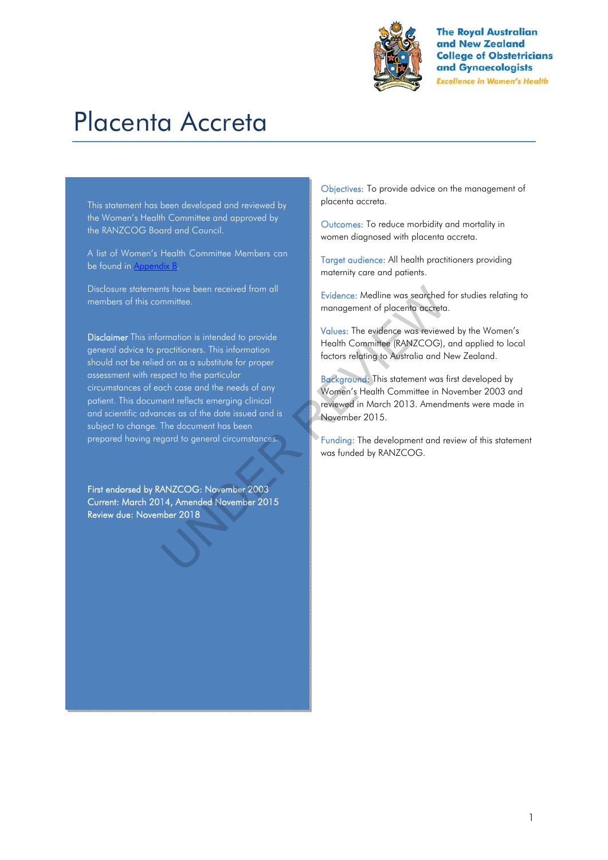

**The Roval Australian** and New Zealand **College of Obstetricians** and Gynaecologists **Excellence in Women's Health** 

# Placenta Accreta

This statement has been developed and reviewed by the Women's Health Committee and approved by the RANZCOG Board and Council.

A list of Women's Health Committee Members can be found in Appendix B.

Disclosure statements have been received from all members of this committee.

Disclaimer This information is intended to provide general advice to practitioners. This information should not be relied on as a substitute for proper assessment with respect to the particular circumstances of each case and the needs of any patient. This document reflects emerging clinical and scientific advances as of the date issued and is subject to change. The document has been prepared having regard to general circumstances. The state of the properties are the best of the state of the state of the state of the properties. This information is intended to provide<br>
Understandent of placenta was reviewed the propert of the particular decorations.

First endorsed by RANZCOG: November 2003 Current: March 2014, Amended November 2015 Review due: November 2018

Objectives: To provide advice on the management of placenta accreta.

Outcomes: To reduce morbidity and mortality in women diagnosed with placenta accreta.

Target audience: All health practitioners providing maternity care and patients.

Evidence: Medline was searched for studies relating to management of placenta accreta.

Values: The evidence was reviewed by the Women's Health Committee (RANZCOG), and applied to local factors relating to Australia and New Zealand.

Background: This statement was first developed by Women's Health Committee in November 2003 and reviewed in March 2013. Amendments were made in November 2015.

Funding: The development and review of this statement was funded by RANZCOG.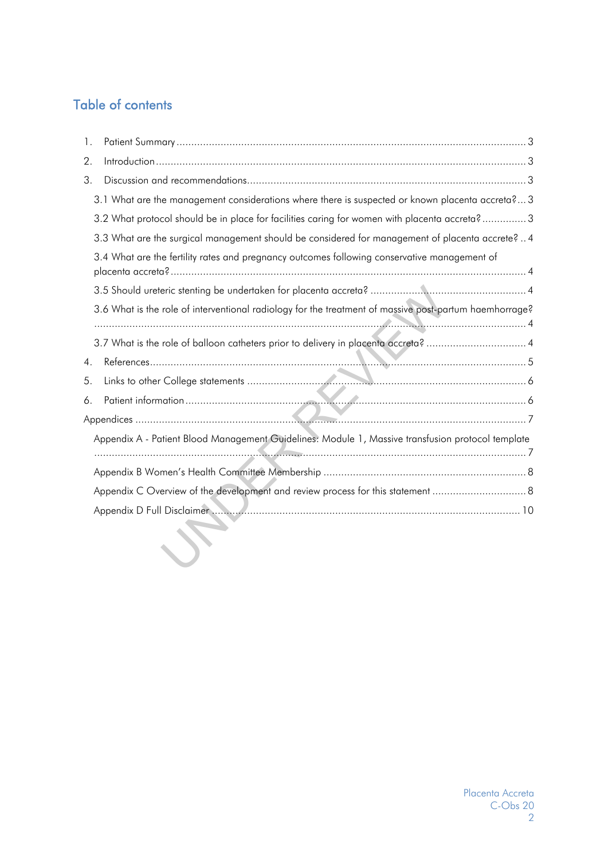# Table of contents

| 1.                                                                                                     |  |
|--------------------------------------------------------------------------------------------------------|--|
| 2.                                                                                                     |  |
| 3.                                                                                                     |  |
| 3.1 What are the management considerations where there is suspected or known placenta accreta?3        |  |
| 3.2 What protocol should be in place for facilities caring for women with placenta accreta? 3          |  |
| 3.3 What are the surgical management should be considered for management of placenta accrete?  4       |  |
| 3.4 What are the fertility rates and pregnancy outcomes following conservative management of           |  |
|                                                                                                        |  |
| 3.6 What is the role of interventional radiology for the treatment of massive post-partum haemhorrage? |  |
| 3.7 What is the role of balloon catheters prior to delivery in placenta accreta?  4                    |  |
| $\overline{4}$ .                                                                                       |  |
| 5.                                                                                                     |  |
| 6.                                                                                                     |  |
|                                                                                                        |  |
| Appendix A - Patient Blood Management Guidelines: Module 1, Massive transfusion protocol template      |  |
|                                                                                                        |  |
|                                                                                                        |  |
| Appendix C Overview of the development and review process for this statement                           |  |
|                                                                                                        |  |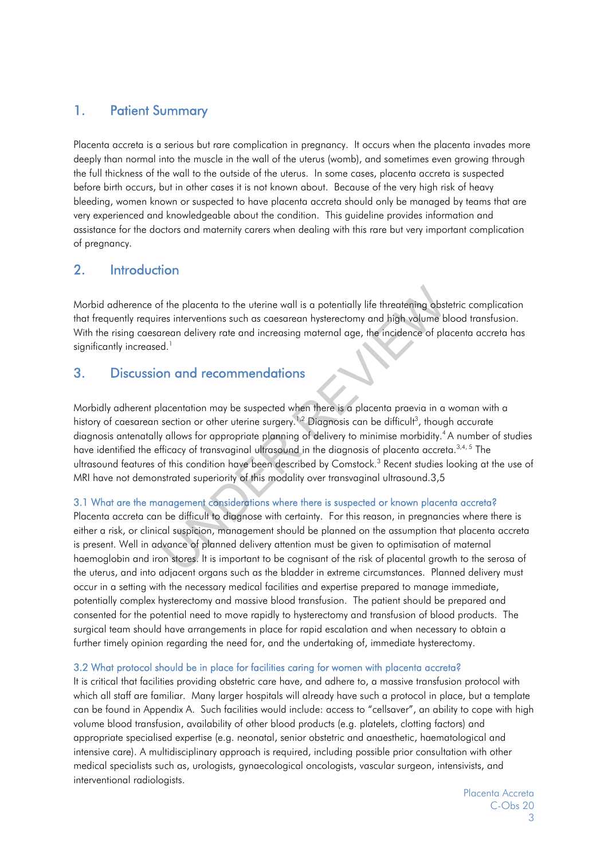## 1. Patient Summary

Placenta accreta is a serious but rare complication in pregnancy. It occurs when the placenta invades more deeply than normal into the muscle in the wall of the uterus (womb), and sometimes even growing through the full thickness of the wall to the outside of the uterus. In some cases, placenta accreta is suspected before birth occurs, but in other cases it is not known about. Because of the very high risk of heavy bleeding, women known or suspected to have placenta accreta should only be managed by teams that are very experienced and knowledgeable about the condition. This guideline provides information and assistance for the doctors and maternity carers when dealing with this rare but very important complication of pregnancy.

## 2. Introduction

Morbid adherence of the placenta to the uterine wall is a potentially life threatening obstetric complication that frequently requires interventions such as caesarean hysterectomy and high volume blood transfusion. With the rising caesarean delivery rate and increasing maternal age, the incidence of placenta accreta has significantly increased.<sup>1</sup>

## 3. Discussion and recommendations

Morbidly adherent placentation may be suspected when there is a placenta praevia in a woman with a history of caesarean section or other uterine surgery.<sup>1,2</sup> Diagnosis can be difficult<sup>3</sup>, though accurate diagnosis antenatally allows for appropriate planning of delivery to minimise morbidity.<sup>4</sup> A number of studies have identified the efficacy of transvaginal ultrasound in the diagnosis of placenta accreta.<sup>3,4, 5</sup> The ultrasound features of this condition have been described by Comstock.<sup>3</sup> Recent studies looking at the use of MRI have not demonstrated superiority of this modality over transvaginal ultrasound.3,5 If the placenta to the uterine wall is a potentially life threatening obst<br>es interventions such as caesarean hysterectomy and high volume b<br>trean delivery rate and increasing maternal age, the incidence of pla<br>d.<br>**In and** 

## 3.1 What are the management considerations where there is suspected or known placenta accreta?

Placenta accreta can be difficult to diagnose with certainty. For this reason, in pregnancies where there is either a risk, or clinical suspicion, management should be planned on the assumption that placenta accreta is present. Well in advance of planned delivery attention must be given to optimisation of maternal haemoglobin and iron stores. It is important to be cognisant of the risk of placental growth to the serosa of the uterus, and into adjacent organs such as the bladder in extreme circumstances. Planned delivery must occur in a setting with the necessary medical facilities and expertise prepared to manage immediate, potentially complex hysterectomy and massive blood transfusion. The patient should be prepared and consented for the potential need to move rapidly to hysterectomy and transfusion of blood products. The surgical team should have arrangements in place for rapid escalation and when necessary to obtain a further timely opinion regarding the need for, and the undertaking of, immediate hysterectomy.

#### 3.2 What protocol should be in place for facilities caring for women with placenta accreta?

It is critical that facilities providing obstetric care have, and adhere to, a massive transfusion protocol with which all staff are familiar. Many larger hospitals will already have such a protocol in place, but a template can be found in Appendix A. Such facilities would include: access to "cellsaver", an ability to cope with high volume blood transfusion, availability of other blood products (e.g. platelets, clotting factors) and appropriate specialised expertise (e.g. neonatal, senior obstetric and anaesthetic, haematological and intensive care). A multidisciplinary approach is required, including possible prior consultation with other medical specialists such as, urologists, gynaecological oncologists, vascular surgeon, intensivists, and interventional radiologists.

> Placenta Accreta C-Obs 20 3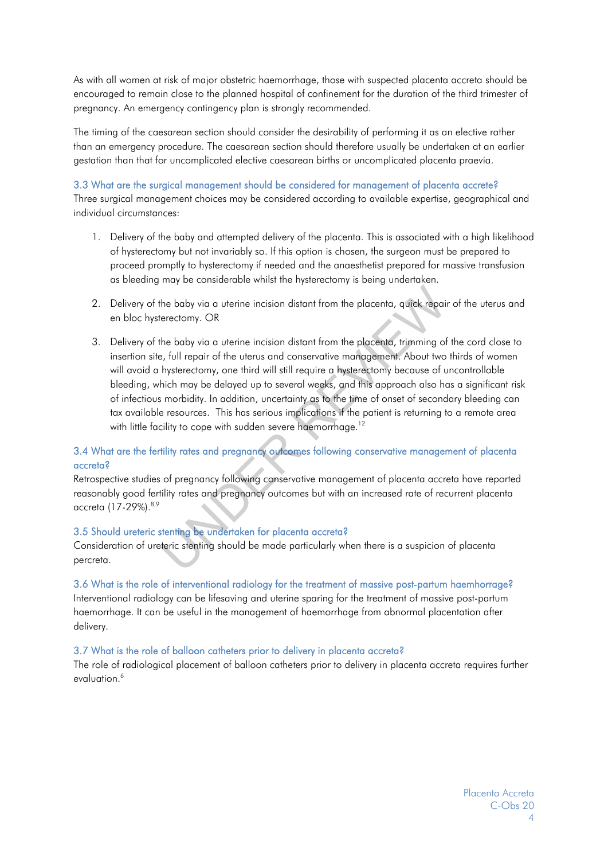As with all women at risk of major obstetric haemorrhage, those with suspected placenta accreta should be encouraged to remain close to the planned hospital of confinement for the duration of the third trimester of pregnancy. An emergency contingency plan is strongly recommended.

The timing of the caesarean section should consider the desirability of performing it as an elective rather than an emergency procedure. The caesarean section should therefore usually be undertaken at an earlier gestation than that for uncomplicated elective caesarean births or uncomplicated placenta praevia.

#### 3.3 What are the surgical management should be considered for management of placenta accrete?

Three surgical management choices may be considered according to available expertise, geographical and individual circumstances:

- 1. Delivery of the baby and attempted delivery of the placenta. This is associated with a high likelihood of hysterectomy but not invariably so. If this option is chosen, the surgeon must be prepared to proceed promptly to hysterectomy if needed and the anaesthetist prepared for massive transfusion as bleeding may be considerable whilst the hysterectomy is being undertaken.
- 2. Delivery of the baby via a uterine incision distant from the placenta, quick repair of the uterus and en bloc hysterectomy. OR
- 3. Delivery of the baby via a uterine incision distant from the placenta, trimming of the cord close to insertion site, full repair of the uterus and conservative management. About two thirds of women will avoid a hysterectomy, one third will still require a hysterectomy because of uncontrollable bleeding, which may be delayed up to several weeks, and this approach also has a significant risk of infectious morbidity. In addition, uncertainty as to the time of onset of secondary bleeding can tax available resources. This has serious implications if the patient is returning to a remote area with little facility to cope with sudden severe haemorrhage.<sup>12</sup> the baby via a uterine incision distant from the placenta, quick repail<br>erectomy. OR<br>the baby via a uterine incision distant from the placenta, rimming of<br>the baby via a uterine incision distant from the placenta, trimming

## 3.4 What are the fertility rates and pregnancy outcomes following conservative management of placenta accreta?

Retrospective studies of pregnancy following conservative management of placenta accreta have reported reasonably good fertility rates and pregnancy outcomes but with an increased rate of recurrent placenta accreta (17-29%). 8,9

#### 3.5 Should ureteric stenting be undertaken for placenta accreta?

Consideration of ureteric stenting should be made particularly when there is a suspicion of placenta percreta.

#### 3.6 What is the role of interventional radiology for the treatment of massive post-partum haemhorrage?

Interventional radiology can be lifesaving and uterine sparing for the treatment of massive post-partum haemorrhage. It can be useful in the management of haemorrhage from abnormal placentation after delivery.

#### 3.7 What is the role of balloon catheters prior to delivery in placenta accreta?

The role of radiological placement of balloon catheters prior to delivery in placenta accreta requires further evaluation.<sup>6</sup>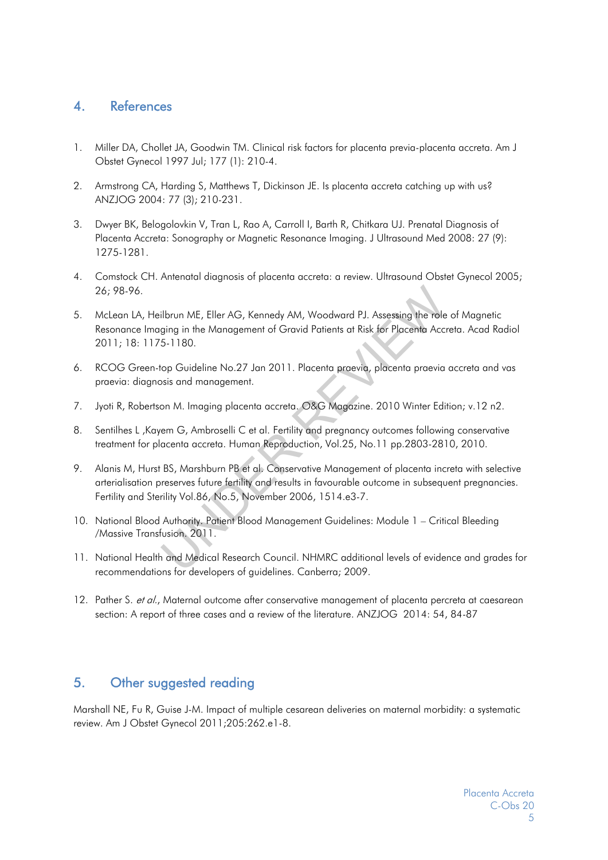## 4. References

- 1. Miller DA, Chollet JA, Goodwin TM. Clinical risk factors for placenta previa-placenta accreta. Am J Obstet Gynecol 1997 Jul; 177 (1): 210-4.
- 2. Armstrong CA, Harding S, Matthews T, Dickinson JE. Is placenta accreta catching up with us? ANZJOG 2004: 77 (3); 210-231.
- 3. Dwyer BK, Belogolovkin V, Tran L, Rao A, Carroll I, Barth R, Chitkara UJ. Prenatal Diagnosis of Placenta Accreta: Sonography or Magnetic Resonance Imaging. J Ultrasound Med 2008: 27 (9): 1275-1281.
- 4. Comstock CH. Antenatal diagnosis of placenta accreta: a review. Ultrasound Obstet Gynecol 2005; 26; 98-96.
- 5. McLean LA, Heilbrun ME, Eller AG, Kennedy AM, Woodward PJ. Assessing the role of Magnetic Resonance Imaging in the Management of Gravid Patients at Risk for Placenta Accreta. Acad Radiol 2011; 18: 1175-1180. ilbrun ME, Eller AG, Kennedy AM, Woodward PJ. Assessing the role<br>ging in the Management of Gravid Patients at Risk for Placenta Acci<br>5-1180.<br>op Guideline No.27 Jan 2011. Placenta praevia, placenta praevia<br>psis and manageme
- 6. RCOG Green-top Guideline No.27 Jan 2011. Placenta praevia, placenta praevia accreta and vas praevia: diagnosis and management.
- 7. Jyoti R, Robertson M. Imaging placenta accreta. O&G Magazine. 2010 Winter Edition; v.12 n2.
- 8. Sentilhes L ,Kayem G, Ambroselli C et al. Fertility and pregnancy outcomes following conservative treatment for placenta accreta. Human Reproduction, Vol.25, No.11 pp.2803-2810, 2010.
- 9. Alanis M, Hurst BS, Marshburn PB et al. Conservative Management of placenta increta with selective arterialisation preserves future fertility and results in favourable outcome in subsequent pregnancies. Fertility and Sterility Vol.86, No.5, November 2006, 1514.e3-7.
- 10. National Blood Authority. Patient Blood Management Guidelines: Module 1 Critical Bleeding /Massive Transfusion. 2011.
- 11. National Health and Medical Research Council. NHMRC additional levels of evidence and grades for recommendations for developers of guidelines. Canberra; 2009.
- 12. Pather S. et al., Maternal outcome after conservative management of placenta percreta at caesarean section: A report of three cases and a review of the literature. ANZJOG 2014: 54, 84-87

## 5. Other suggested reading

Marshall NE, Fu R, Guise J-M. Impact of multiple cesarean deliveries on maternal morbidity: a systematic review. Am J Obstet Gynecol 2011;205:262.e1-8.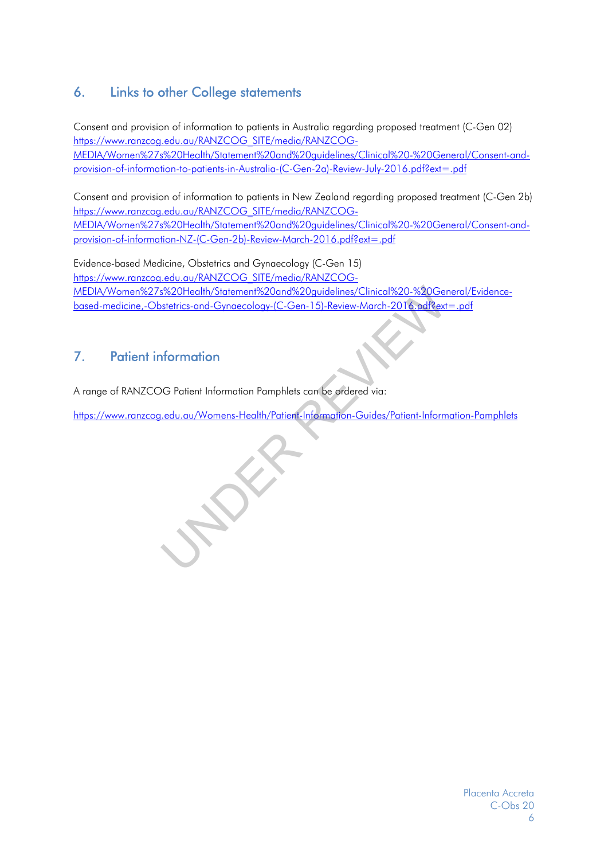## 6. Links to other College statements

Consent and provision of information to patients in Australia regarding proposed treatment (C-Gen 02) https://www.ranzcog.edu.au/RANZCOG\_SITE/media/RANZCOG-MEDIA/Women%27s%20Health/Statement%20and%20guidelines/Clinical%20-%20General/Consent-andprovision-of-information-to-patients-in-Australia-(C-Gen-2a)-Review-July-2016.pdf?ext=.pdf

Consent and provision of information to patients in New Zealand regarding proposed treatment (C-Gen 2b) https://www.ranzcog.edu.au/RANZCOG\_SITE/media/RANZCOG-MEDIA/Women%27s%20Health/Statement%20and%20guidelines/Clinical%20-%20General/Consent-andprovision-of-information-NZ-(C-Gen-2b)-Review-March-2016.pdf?ext=.pdf

Evidence-based Medicine, Obstetrics and Gynaecology (C-Gen 15) https://www.ranzcog.edu.au/RANZCOG\_SITE/media/RANZCOG-MEDIA/Women%27s%20Health/Statement%20and%20guidelines/Clinical%20-%20General/Evidencebased-medicine,-Obstetrics-and-Gynaecology-(C-Gen-15)-Review-March-2016.pdf?ext=.pdf <u>e%20Health/Statement%20and%20guidelines/Clinical%20-%20Genstetrics-and-Gynaecology-(C-Gen-15)-Review-March-2016.pdf?ext<br>stetrics-and-Gynaecology-(C-Gen-15)-Review-March-2016.pdf?ext<br>formation<br>..edu.au/Womens-Health/Patien</u>

## 7. Patient information

A range of RANZCOG Patient Information Pamphlets can be ordered via:

https://www.ranzcog.edu.au/Womens-Health/Patient-Information-Guides/Patient-Information-Pamphlets

Placenta Accreta C-Obs 20 6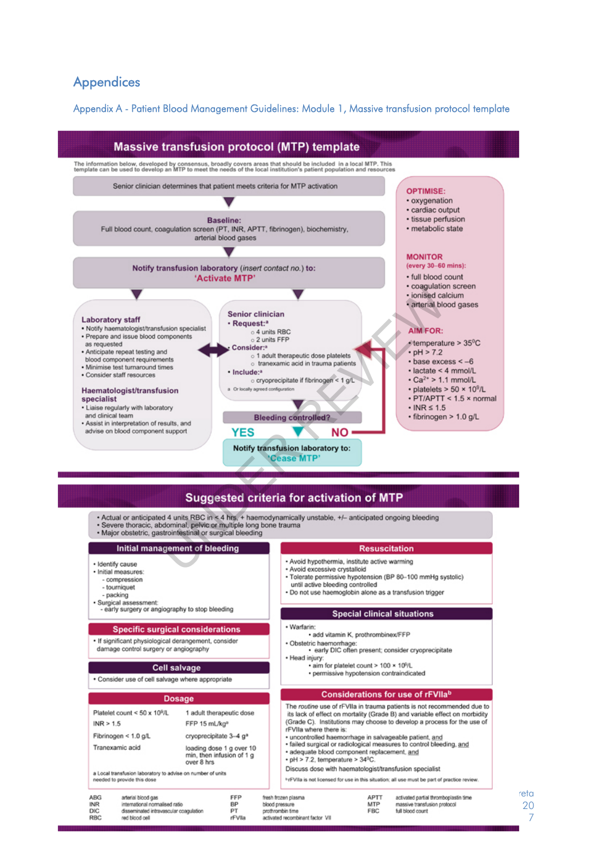## **Appendices**

AB **INF** 

RB

Appendix A - Patient Blood Management Guidelines: Module 1, Massive transfusion protocol template



| <b>Dosage</b>                                                                                                                 |                                                                                                                                               |                                                                                   |                                                                                                                                                                                                                                                                                                                                                                                                                                                                                                                                                                                                                                                         | Considerations for use of rFVIIab |                                                                                           |
|-------------------------------------------------------------------------------------------------------------------------------|-----------------------------------------------------------------------------------------------------------------------------------------------|-----------------------------------------------------------------------------------|---------------------------------------------------------------------------------------------------------------------------------------------------------------------------------------------------------------------------------------------------------------------------------------------------------------------------------------------------------------------------------------------------------------------------------------------------------------------------------------------------------------------------------------------------------------------------------------------------------------------------------------------------------|-----------------------------------|-------------------------------------------------------------------------------------------|
| Platelet count < $50 \times 10^9$ /L<br>INR > 1.5<br>Fibrinogen < $1.0$ g/L<br>Tranexamic acid<br>needed to provide this dose | FFP 15 mL/kg <sup>a</sup><br>cryoprecipitate 3-4 g <sup>a</sup><br>over 8 hrs.<br>a Local transfusion laboratory to advise on number of units | 1 adult therapeutic dose<br>loading dose 1 g over 10<br>min, then infusion of 1 g | The routine use of rFVIIa in trauma patients is not recommended due to<br>its lack of effect on mortality (Grade B) and variable effect on morbidity<br>(Grade C). Institutions may choose to develop a process for the use of<br>rFVIIa where there is:<br>· uncontrolled haemorrhage in salvageable patient, and<br>· failed surgical or radiological measures to control bleeding, and<br>· adequate blood component replacement, and<br>$\cdot$ pH > 7.2, temperature > 34 <sup>0</sup> C.<br>Discuss dose with haematologist/transfusion specialist<br>hrFVIIa is not licensed for use in this situation: all use must be part of practice review. |                                   |                                                                                           |
| <b>ABG</b><br>arterial blood gas<br><b>INR</b><br><b>DIC</b><br><b>RBC</b><br>lieg blood dell                                 | international normalised ratio<br>disseminated intravascular coagulation                                                                      | FFP<br>BP<br>PT<br>rFVlla                                                         | fresh frozen plasma<br>blood pressure<br>prothrombin time<br>activated recombinant factor VII                                                                                                                                                                                                                                                                                                                                                                                                                                                                                                                                                           | <b>APTT</b><br>MTP<br><b>FBC</b>  | activated partial thrombopiastin time<br>massive transfusion protocol<br>full blood count |

reta C-Obs 20 7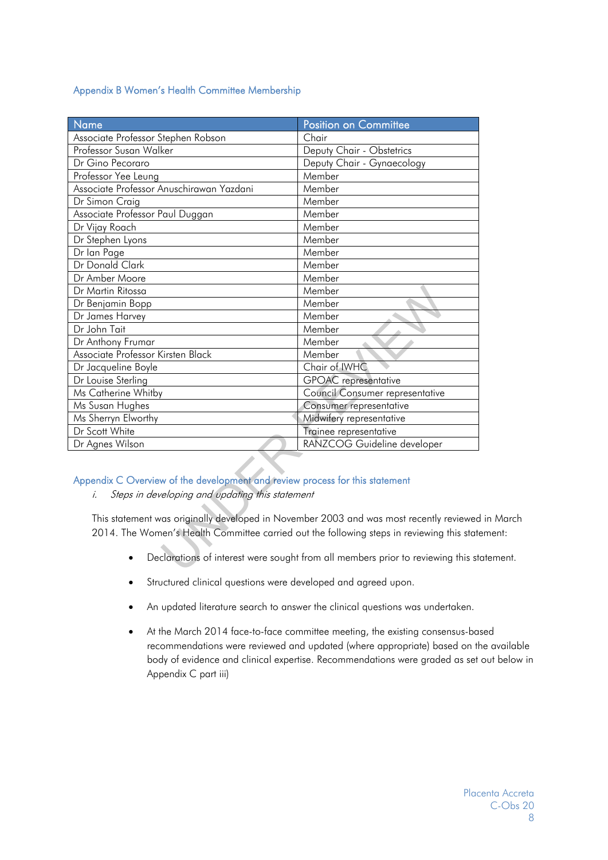## Appendix B Women's Health Committee Membership

| <b>Name</b>                                                                                                                                                                                                                                                                                                                                                                                                       | <b>Position on Committee</b>    |  |  |  |
|-------------------------------------------------------------------------------------------------------------------------------------------------------------------------------------------------------------------------------------------------------------------------------------------------------------------------------------------------------------------------------------------------------------------|---------------------------------|--|--|--|
| Associate Professor Stephen Robson                                                                                                                                                                                                                                                                                                                                                                                | Chair                           |  |  |  |
| Professor Susan Walker                                                                                                                                                                                                                                                                                                                                                                                            | Deputy Chair - Obstetrics       |  |  |  |
| Dr Gino Pecoraro                                                                                                                                                                                                                                                                                                                                                                                                  | Deputy Chair - Gynaecology      |  |  |  |
| Professor Yee Leung                                                                                                                                                                                                                                                                                                                                                                                               | Member                          |  |  |  |
| Associate Professor Anuschirawan Yazdani                                                                                                                                                                                                                                                                                                                                                                          | Member                          |  |  |  |
| Dr Simon Craig                                                                                                                                                                                                                                                                                                                                                                                                    | Member                          |  |  |  |
| Associate Professor Paul Duggan                                                                                                                                                                                                                                                                                                                                                                                   | Member                          |  |  |  |
| Dr Vijay Roach                                                                                                                                                                                                                                                                                                                                                                                                    | Member                          |  |  |  |
| Dr Stephen Lyons                                                                                                                                                                                                                                                                                                                                                                                                  | Member                          |  |  |  |
| Dr lan Page                                                                                                                                                                                                                                                                                                                                                                                                       | Member                          |  |  |  |
| Dr Donald Clark                                                                                                                                                                                                                                                                                                                                                                                                   | Member                          |  |  |  |
| Dr Amber Moore                                                                                                                                                                                                                                                                                                                                                                                                    | Member                          |  |  |  |
| Dr Martin Ritossa                                                                                                                                                                                                                                                                                                                                                                                                 | Member                          |  |  |  |
| Dr Benjamin Bopp                                                                                                                                                                                                                                                                                                                                                                                                  | Member                          |  |  |  |
| Dr James Harvey                                                                                                                                                                                                                                                                                                                                                                                                   | Member                          |  |  |  |
| Dr John Tait                                                                                                                                                                                                                                                                                                                                                                                                      | Member                          |  |  |  |
| Dr Anthony Frumar                                                                                                                                                                                                                                                                                                                                                                                                 | Member                          |  |  |  |
| Associate Professor Kirsten Black                                                                                                                                                                                                                                                                                                                                                                                 | Member                          |  |  |  |
| Dr Jacqueline Boyle                                                                                                                                                                                                                                                                                                                                                                                               | Chair of IWHC                   |  |  |  |
| Dr Louise Sterling                                                                                                                                                                                                                                                                                                                                                                                                | <b>GPOAC</b> representative     |  |  |  |
| Ms Catherine Whitby                                                                                                                                                                                                                                                                                                                                                                                               | Council Consumer representative |  |  |  |
| Ms Susan Hughes                                                                                                                                                                                                                                                                                                                                                                                                   | Consumer representative         |  |  |  |
| Ms Sherryn Elworthy                                                                                                                                                                                                                                                                                                                                                                                               | Midwifery representative        |  |  |  |
| Dr Scott White                                                                                                                                                                                                                                                                                                                                                                                                    | Trainee representative          |  |  |  |
| Dr Agnes Wilson                                                                                                                                                                                                                                                                                                                                                                                                   | RANZCOG Guideline developer     |  |  |  |
| Appendix C Overview of the development and review process for this statement<br>Steps in developing and updating this statement<br>i.<br>This statement was originally developed in November 2003 and was most recently reviewed<br>2014. The Women's Health Committee carried out the following steps in reviewing this stat<br>Declarations of interest were sought from all members prior to reviewing this st |                                 |  |  |  |

## Appendix C Overview of the development and review process for this statement

This statement was originally developed in November 2003 and was most recently reviewed in March 2014. The Women's Health Committee carried out the following steps in reviewing this statement:

- Declarations of interest were sought from all members prior to reviewing this statement.
- Structured clinical questions were developed and agreed upon.
- An updated literature search to answer the clinical questions was undertaken.
- At the March 2014 face-to-face committee meeting, the existing consensus-based recommendations were reviewed and updated (where appropriate) based on the available body of evidence and clinical expertise. Recommendations were graded as set out below in Appendix C part iii)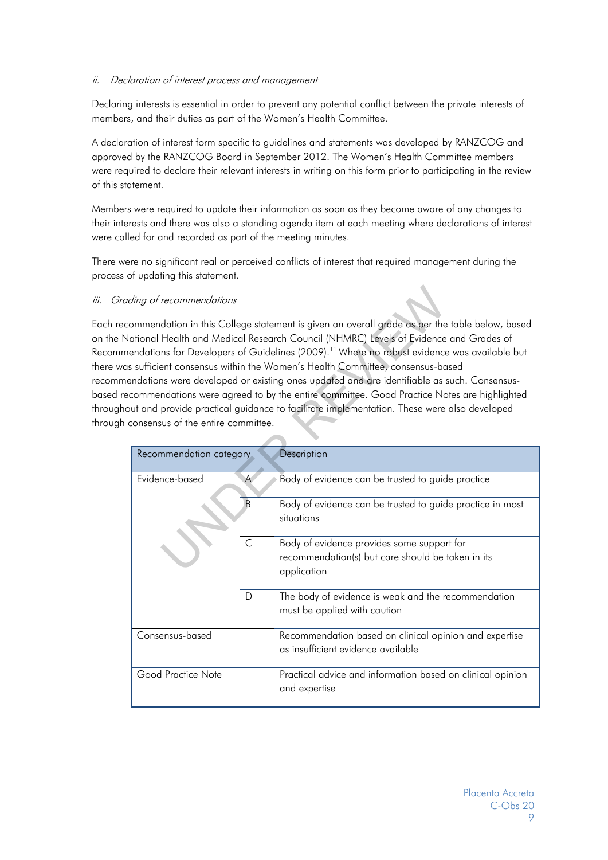## ii. Declaration of interest process and management

Declaring interests is essential in order to prevent any potential conflict between the private interests of members, and their duties as part of the Women's Health Committee.

A declaration of interest form specific to guidelines and statements was developed by RANZCOG and approved by the RANZCOG Board in September 2012. The Women's Health Committee members were required to declare their relevant interests in writing on this form prior to participating in the review of this statement.

Members were required to update their information as soon as they become aware of any changes to their interests and there was also a standing agenda item at each meeting where declarations of interest were called for and recorded as part of the meeting minutes.

There were no significant real or perceived conflicts of interest that required management during the process of updating this statement.

#### iii. Grading of recommendations

Each recommendation in this College statement is given an overall grade as per the table below, based on the National Health and Medical Research Council (NHMRC) Levels of Evidence and Grades of Recommendations for Developers of Guidelines (2009).<sup>11</sup> Where no robust evidence was available but there was sufficient consensus within the Women's Health Committee, consensus-based recommendations were developed or existing ones updated and are identifiable as such. Consensusbased recommendations were agreed to by the entire committee. Good Practice Notes are highlighted throughout and provide practical guidance to facilitate implementation. These were also developed through consensus of the entire committee.

| ding of recommendations                                                                                                                                                                                                                                                                                                                                                                                                                                                                                                                                                                                                                                                                                         |              |                                                                                                                |  |  |  |  |
|-----------------------------------------------------------------------------------------------------------------------------------------------------------------------------------------------------------------------------------------------------------------------------------------------------------------------------------------------------------------------------------------------------------------------------------------------------------------------------------------------------------------------------------------------------------------------------------------------------------------------------------------------------------------------------------------------------------------|--------------|----------------------------------------------------------------------------------------------------------------|--|--|--|--|
| ommendation in this College statement is given an overall grade as per the table below, based<br>lational Health and Medical Research Council (NHMRC) Levels of Evidence and Grades of<br>endations for Developers of Guidelines (2009). <sup>11</sup> Where no robust evidence was available but<br>s sufficient consensus within the Women's Health Committee, consensus-based<br>endations were developed or existing ones updated and are identifiable as such. Consensus-<br>commendations were agreed to by the entire committee. Good Practice Notes are highlighted<br>out and provide practical guidance to facilitate implementation. These were also developed<br>consensus of the entire committee. |              |                                                                                                                |  |  |  |  |
| Recommendation category                                                                                                                                                                                                                                                                                                                                                                                                                                                                                                                                                                                                                                                                                         |              | Description                                                                                                    |  |  |  |  |
| Evidence-based                                                                                                                                                                                                                                                                                                                                                                                                                                                                                                                                                                                                                                                                                                  | A            | Body of evidence can be trusted to guide practice                                                              |  |  |  |  |
|                                                                                                                                                                                                                                                                                                                                                                                                                                                                                                                                                                                                                                                                                                                 | B            | Body of evidence can be trusted to guide practice in most<br>situations                                        |  |  |  |  |
|                                                                                                                                                                                                                                                                                                                                                                                                                                                                                                                                                                                                                                                                                                                 | $\mathsf{C}$ | Body of evidence provides some support for<br>recommendation(s) but care should be taken in its<br>application |  |  |  |  |
|                                                                                                                                                                                                                                                                                                                                                                                                                                                                                                                                                                                                                                                                                                                 | D            | The body of evidence is weak and the recommendation<br>must be applied with caution                            |  |  |  |  |
| Consensus-based                                                                                                                                                                                                                                                                                                                                                                                                                                                                                                                                                                                                                                                                                                 |              | Recommendation based on clinical opinion and expertise<br>as insufficient evidence available                   |  |  |  |  |
| Good Practice Note                                                                                                                                                                                                                                                                                                                                                                                                                                                                                                                                                                                                                                                                                              |              | Practical advice and information based on clinical opinion<br>and expertise                                    |  |  |  |  |